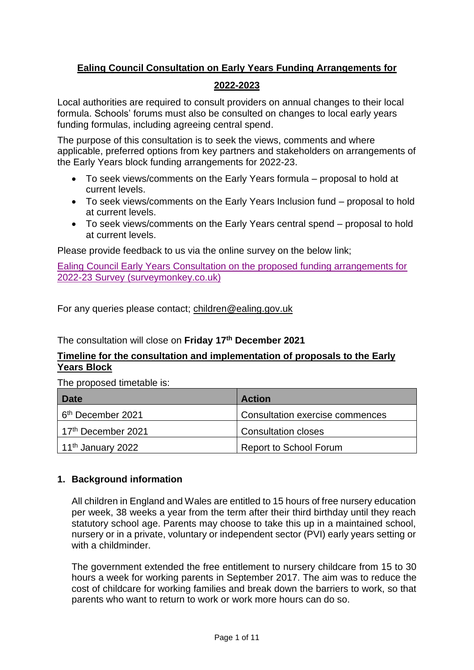# **Ealing Council Consultation on Early Years Funding Arrangements for**

# **2022-2023**

Local authorities are required to consult providers on annual changes to their local formula. Schools' forums must also be consulted on changes to local early years funding formulas, including agreeing central spend.

The purpose of this consultation is to seek the views, comments and where applicable, preferred options from key partners and stakeholders on arrangements of the Early Years block funding arrangements for 2022-23.

- To seek views/comments on the Early Years formula proposal to hold at current levels.
- To seek views/comments on the Early Years Inclusion fund proposal to hold at current levels.
- To seek views/comments on the Early Years central spend proposal to hold at current levels.

Please provide feedback to us via the online survey on the below link;

[Ealing Council Early Years Consultation on the proposed funding arrangements for](https://www.surveymonkey.co.uk/r/Early_Years_Consultation_2022-23)  [2022-23 Survey \(surveymonkey.co.uk\)](https://www.surveymonkey.co.uk/r/Early_Years_Consultation_2022-23)

For any queries please contact; [children@ealing.gov.uk](mailto:children@ealing.gov.uk)

The consultation will close on **Friday 17th December 2021**

# **Timeline for the consultation and implementation of proposals to the Early Years Block**

The proposed timetable is:

| <b>Date</b>                   | <b>Action</b>                   |
|-------------------------------|---------------------------------|
| 6 <sup>th</sup> December 2021 | Consultation exercise commences |
| 17th December 2021            | <b>Consultation closes</b>      |
| 11 <sup>th</sup> January 2022 | <b>Report to School Forum</b>   |

# **1. Background information**

All children in England and Wales are entitled to 15 hours of free nursery education per week, 38 weeks a year from the term after their third birthday until they reach statutory school age. Parents may choose to take this up in a maintained school, nursery or in a private, voluntary or independent sector (PVI) early years setting or with a childminder.

The government extended the free entitlement to nursery childcare from 15 to 30 hours a week for working parents in September 2017. The aim was to reduce the cost of childcare for working families and break down the barriers to work, so that parents who want to return to work or work more hours can do so.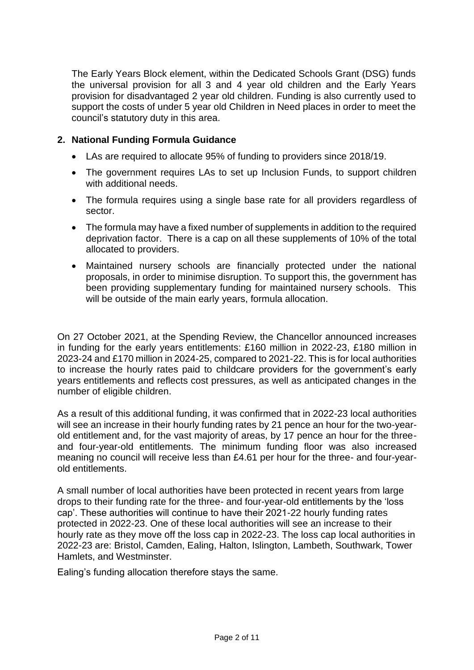The Early Years Block element, within the Dedicated Schools Grant (DSG) funds the universal provision for all 3 and 4 year old children and the Early Years provision for disadvantaged 2 year old children. Funding is also currently used to support the costs of under 5 year old Children in Need places in order to meet the council's statutory duty in this area.

## **2. National Funding Formula Guidance**

- LAs are required to allocate 95% of funding to providers since 2018/19.
- The government requires LAs to set up Inclusion Funds, to support children with additional needs.
- The formula requires using a single base rate for all providers regardless of sector.
- The formula may have a fixed number of supplements in addition to the required deprivation factor. There is a cap on all these supplements of 10% of the total allocated to providers.
- Maintained nursery schools are financially protected under the national proposals, in order to minimise disruption. To support this, the government has been providing supplementary funding for maintained nursery schools. This will be outside of the main early years, formula allocation.

On 27 October 2021, at the Spending Review, the Chancellor announced increases in funding for the early years entitlements: £160 million in 2022-23, £180 million in 2023-24 and £170 million in 2024-25, compared to 2021-22. This is for local authorities to increase the hourly rates paid to childcare providers for the government's early years entitlements and reflects cost pressures, as well as anticipated changes in the number of eligible children.

As a result of this additional funding, it was confirmed that in 2022-23 local authorities will see an increase in their hourly funding rates by 21 pence an hour for the two-yearold entitlement and, for the vast majority of areas, by 17 pence an hour for the threeand four-year-old entitlements. The minimum funding floor was also increased meaning no council will receive less than £4.61 per hour for the three- and four-yearold entitlements.

A small number of local authorities have been protected in recent years from large drops to their funding rate for the three- and four-year-old entitlements by the 'loss cap'. These authorities will continue to have their 2021-22 hourly funding rates protected in 2022-23. One of these local authorities will see an increase to their hourly rate as they move off the loss cap in 2022-23. The loss cap local authorities in 2022-23 are: Bristol, Camden, Ealing, Halton, Islington, Lambeth, Southwark, Tower Hamlets, and Westminster.

Ealing's funding allocation therefore stays the same.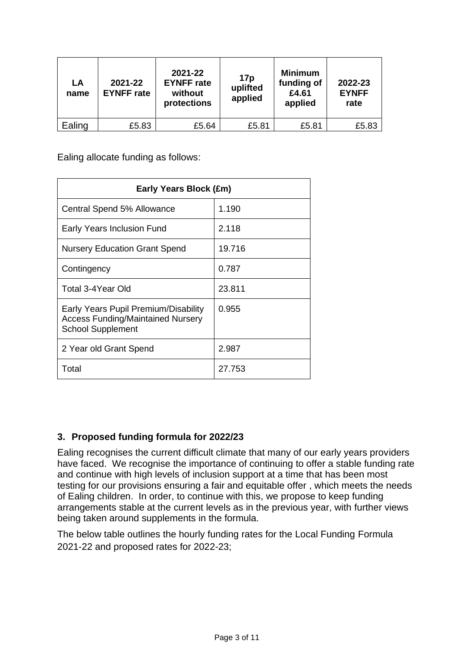| LA<br>name | 2021-22<br><b>EYNFF</b> rate | 2021-22<br><b>EYNFF</b> rate<br>without<br>protections | 17p<br>uplifted<br>applied | <b>Minimum</b><br>funding of<br>£4.61<br>applied | 2022-23<br><b>EYNFF</b><br>rate |
|------------|------------------------------|--------------------------------------------------------|----------------------------|--------------------------------------------------|---------------------------------|
| Ealing     | £5.83                        | £5.64                                                  | £5.81                      | £5.81                                            | £5.83                           |

Ealing allocate funding as follows:

| Early Years Block (£m)                                                                                       |        |  |  |  |
|--------------------------------------------------------------------------------------------------------------|--------|--|--|--|
| Central Spend 5% Allowance                                                                                   | 1.190  |  |  |  |
| Early Years Inclusion Fund                                                                                   | 2.118  |  |  |  |
| <b>Nursery Education Grant Spend</b>                                                                         | 19.716 |  |  |  |
| Contingency                                                                                                  | 0.787  |  |  |  |
| Total 3-4Year Old                                                                                            | 23.811 |  |  |  |
| Early Years Pupil Premium/Disability<br><b>Access Funding/Maintained Nursery</b><br><b>School Supplement</b> | 0.955  |  |  |  |
| 2 Year old Grant Spend                                                                                       | 2.987  |  |  |  |
| Total                                                                                                        | 27.753 |  |  |  |

# **3. Proposed funding formula for 2022/23**

Ealing recognises the current difficult climate that many of our early years providers have faced. We recognise the importance of continuing to offer a stable funding rate and continue with high levels of inclusion support at a time that has been most testing for our provisions ensuring a fair and equitable offer , which meets the needs of Ealing children. In order, to continue with this, we propose to keep funding arrangements stable at the current levels as in the previous year, with further views being taken around supplements in the formula.

The below table outlines the hourly funding rates for the Local Funding Formula 2021-22 and proposed rates for 2022-23;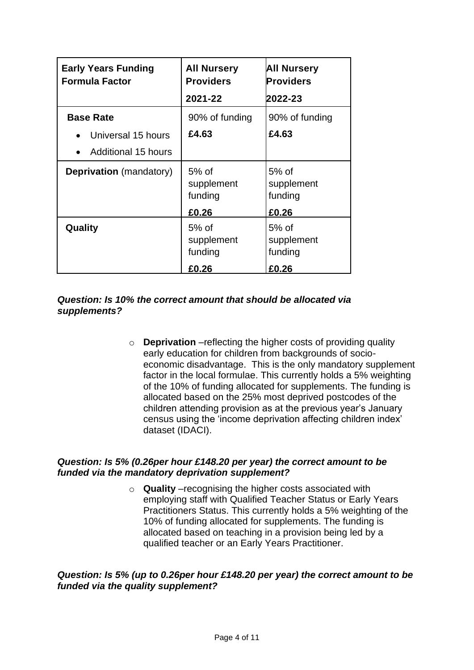| <b>Early Years Funding</b><br><b>Formula Factor</b>    | <b>All Nursery</b><br><b>Providers</b> | <b>All Nursery</b><br><b>Providers</b> |
|--------------------------------------------------------|----------------------------------------|----------------------------------------|
|                                                        | 2021-22                                | 2022-23                                |
| <b>Base Rate</b>                                       | 90% of funding                         | 90% of funding                         |
| Universal 15 hours<br>Additional 15 hours<br>$\bullet$ | £4.63                                  | £4.63                                  |
| <b>Deprivation</b> (mandatory)                         | $5%$ of<br>supplement<br>funding       | $5%$ of<br>supplement<br>funding       |
|                                                        | £0.26                                  | £0.26                                  |
| Quality                                                | 5% of<br>supplement<br>funding         | $5%$ of<br>supplement<br>funding       |
|                                                        | £0.26                                  | £0.26                                  |

### *Question: Is 10% the correct amount that should be allocated via supplements?*

o **Deprivation** –reflecting the higher costs of providing quality early education for children from backgrounds of socioeconomic disadvantage. This is the only mandatory supplement factor in the local formulae. This currently holds a 5% weighting of the 10% of funding allocated for supplements. The funding is allocated based on the 25% most deprived postcodes of the children attending provision as at the previous year's January census using the 'income deprivation affecting children index' dataset (IDACI).

#### *Question: Is 5% (0.26per hour £148.20 per year) the correct amount to be funded via the mandatory deprivation supplement?*

o **Quality** –recognising the higher costs associated with employing staff with Qualified Teacher Status or Early Years Practitioners Status. This currently holds a 5% weighting of the 10% of funding allocated for supplements. The funding is allocated based on teaching in a provision being led by a qualified teacher or an Early Years Practitioner.

### *Question: Is 5% (up to 0.26per hour £148.20 per year) the correct amount to be funded via the quality supplement?*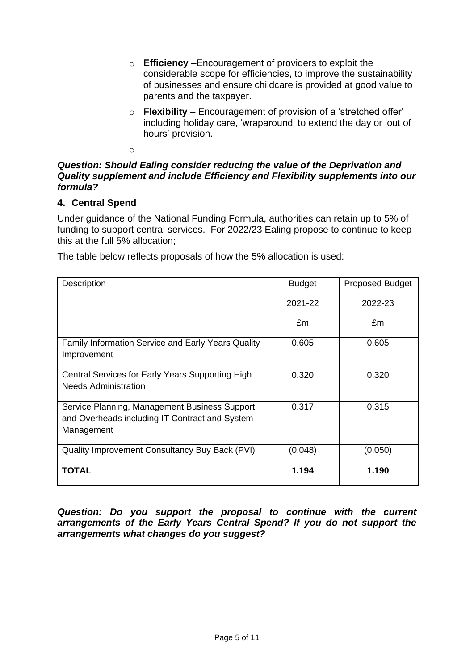- o **Efficiency** –Encouragement of providers to exploit the considerable scope for efficiencies, to improve the sustainability of businesses and ensure childcare is provided at good value to parents and the taxpayer.
- o **Flexibility** Encouragement of provision of a 'stretched offer' including holiday care, 'wraparound' to extend the day or 'out of hours' provision.

o

# *Question: Should Ealing consider reducing the value of the Deprivation and Quality supplement and include Efficiency and Flexibility supplements into our formula?*

# **4. Central Spend**

Under guidance of the National Funding Formula, authorities can retain up to 5% of funding to support central services. For 2022/23 Ealing propose to continue to keep this at the full 5% allocation;

The table below reflects proposals of how the 5% allocation is used:

| Description                                                                                                   | <b>Budget</b> | <b>Proposed Budget</b> |
|---------------------------------------------------------------------------------------------------------------|---------------|------------------------|
|                                                                                                               | 2021-22       | 2022-23                |
|                                                                                                               | £m            | £m                     |
| <b>Family Information Service and Early Years Quality</b><br>Improvement                                      | 0.605         | 0.605                  |
| Central Services for Early Years Supporting High<br><b>Needs Administration</b>                               | 0.320         | 0.320                  |
| Service Planning, Management Business Support<br>and Overheads including IT Contract and System<br>Management | 0.317         | 0.315                  |
| Quality Improvement Consultancy Buy Back (PVI)                                                                | (0.048)       | (0.050)                |
| <b>TOTAL</b>                                                                                                  | 1.194         | 1.190                  |

*Question: Do you support the proposal to continue with the current arrangements of the Early Years Central Spend? If you do not support the arrangements what changes do you suggest?*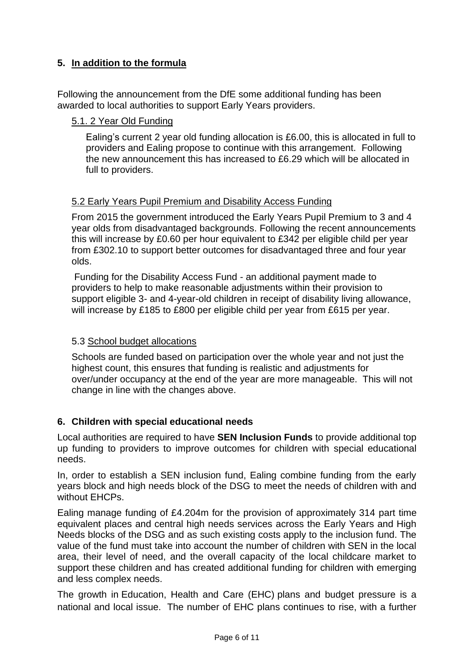# **5. In addition to the formula**

Following the announcement from the DfE some additional funding has been awarded to local authorities to support Early Years providers.

#### 5.1. 2 Year Old Funding

Ealing's current 2 year old funding allocation is £6.00, this is allocated in full to providers and Ealing propose to continue with this arrangement. Following the new announcement this has increased to £6.29 which will be allocated in full to providers.

### 5.2 Early Years Pupil Premium and Disability Access Funding

From 2015 the government introduced the Early Years Pupil Premium to 3 and 4 year olds from disadvantaged backgrounds. Following the recent announcements this will increase by £0.60 per hour equivalent to £342 per eligible child per year from £302.10 to support better outcomes for disadvantaged three and four year olds.

Funding for the Disability Access Fund - an additional payment made to providers to help to make reasonable adjustments within their provision to support eligible 3- and 4-year-old children in receipt of disability living allowance, will increase by £185 to £800 per eligible child per year from £615 per year.

#### 5.3 School budget allocations

Schools are funded based on participation over the whole year and not just the highest count, this ensures that funding is realistic and adjustments for over/under occupancy at the end of the year are more manageable. This will not change in line with the changes above.

# **6. Children with special educational needs**

Local authorities are required to have **SEN Inclusion Funds** to provide additional top up funding to providers to improve outcomes for children with special educational needs.

In, order to establish a SEN inclusion fund, Ealing combine funding from the early years block and high needs block of the DSG to meet the needs of children with and without EHCPs.

Ealing manage funding of £4.204m for the provision of approximately 314 part time equivalent places and central high needs services across the Early Years and High Needs blocks of the DSG and as such existing costs apply to the inclusion fund. The value of the fund must take into account the number of children with SEN in the local area, their level of need, and the overall capacity of the local childcare market to support these children and has created additional funding for children with emerging and less complex needs.

The growth in Education, Health and Care (EHC) plans and budget pressure is a national and local issue. The number of EHC plans continues to rise, with a further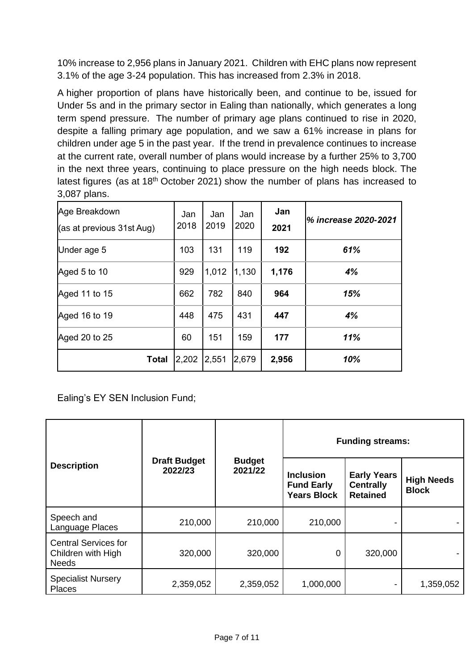10% increase to 2,956 plans in January 2021. Children with EHC plans now represent 3.1% of the age 3-24 population. This has increased from 2.3% in 2018.

A higher proportion of plans have historically been, and continue to be, issued for Under 5s and in the primary sector in Ealing than nationally, which generates a long term spend pressure. The number of primary age plans continued to rise in 2020, despite a falling primary age population, and we saw a 61% increase in plans for children under age 5 in the past year. If the trend in prevalence continues to increase at the current rate, overall number of plans would increase by a further 25% to 3,700 in the next three years, continuing to place pressure on the high needs block. The latest figures (as at  $18<sup>th</sup>$  October 2021) show the number of plans has increased to 3,087 plans.

| Age Breakdown<br>(as at previous 31st Aug) | Jan<br>2018 | Jan<br>2019 | Jan<br>2020 | Jan<br>2021 | % increase 2020-2021 |
|--------------------------------------------|-------------|-------------|-------------|-------------|----------------------|
| Under age 5                                | 103         | 131         | 119         | 192         | 61%                  |
| Aged 5 to 10                               | 929         | 1,012       | 1,130       | 1,176       | 4%                   |
| Aged 11 to 15                              | 662         | 782         | 840         | 964         | 15%                  |
| Aged 16 to 19                              | 448         | 475         | 431         | 447         | 4%                   |
| Aged 20 to 25                              | 60          | 151         | 159         | 177         | 11%                  |
| <b>Total</b>                               | 2,202 2,551 |             | 2,679       | 2,956       | 10%                  |

Ealing's EY SEN Inclusion Fund;

|                                                                   |                                |                          | <b>Funding streams:</b>                                     |                                                           |                                   |
|-------------------------------------------------------------------|--------------------------------|--------------------------|-------------------------------------------------------------|-----------------------------------------------------------|-----------------------------------|
| <b>Description</b>                                                | <b>Draft Budget</b><br>2022/23 | <b>Budget</b><br>2021/22 | <b>Inclusion</b><br><b>Fund Early</b><br><b>Years Block</b> | <b>Early Years</b><br><b>Centrally</b><br><b>Retained</b> | <b>High Needs</b><br><b>Block</b> |
| Speech and<br>Language Places                                     | 210,000                        | 210,000                  | 210,000                                                     |                                                           |                                   |
| <b>Central Services for</b><br>Children with High<br><b>Needs</b> | 320,000                        | 320,000                  | 0                                                           | 320,000                                                   |                                   |
| <b>Specialist Nursery</b><br><b>Places</b>                        | 2,359,052                      | 2,359,052                | 1,000,000                                                   |                                                           | 1,359,052                         |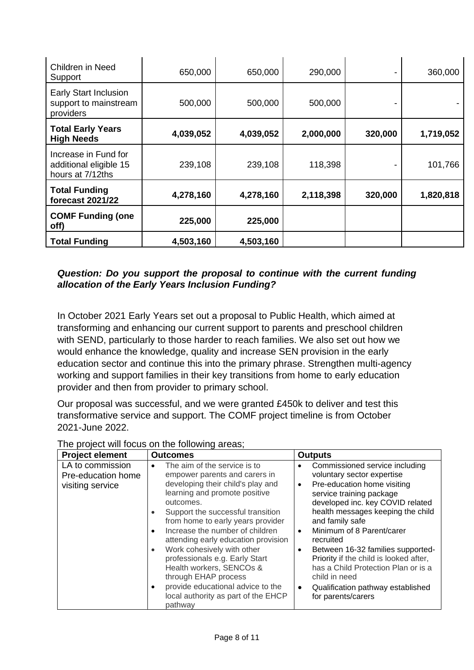| Children in Need<br>Support                                        | 650,000   | 650,000   | 290,000   |         | 360,000   |
|--------------------------------------------------------------------|-----------|-----------|-----------|---------|-----------|
| <b>Early Start Inclusion</b><br>support to mainstream<br>providers | 500,000   | 500,000   | 500,000   |         |           |
| <b>Total Early Years</b><br><b>High Needs</b>                      | 4,039,052 | 4,039,052 | 2,000,000 | 320,000 | 1,719,052 |
| Increase in Fund for<br>additional eligible 15<br>hours at 7/12ths | 239,108   | 239,108   | 118,398   |         | 101,766   |
| <b>Total Funding</b><br><b>forecast 2021/22</b>                    | 4,278,160 | 4,278,160 | 2,118,398 | 320,000 | 1,820,818 |
| <b>COMF Funding (one</b><br>off)                                   | 225,000   | 225,000   |           |         |           |
| <b>Total Funding</b>                                               | 4,503,160 | 4,503,160 |           |         |           |

# *Question: Do you support the proposal to continue with the current funding allocation of the Early Years Inclusion Funding?*

In October 2021 Early Years set out a proposal to Public Health, which aimed at transforming and enhancing our current support to parents and preschool children with SEND, particularly to those harder to reach families. We also set out how we would enhance the knowledge, quality and increase SEN provision in the early education sector and continue this into the primary phrase. Strengthen multi-agency working and support families in their key transitions from home to early education provider and then from provider to primary school.

Our proposal was successful, and we were granted £450k to deliver and test this transformative service and support. The COMF project timeline is from October 2021-June 2022.

| <b>Project element</b>                                     | <b>Outcomes</b>                                                                                                                                                                                                                                                                                                                                                                                                                                                                                                              | <b>Outputs</b>                                                                                                                                                                                                                                                                                                                                                                                                                                                                                                           |
|------------------------------------------------------------|------------------------------------------------------------------------------------------------------------------------------------------------------------------------------------------------------------------------------------------------------------------------------------------------------------------------------------------------------------------------------------------------------------------------------------------------------------------------------------------------------------------------------|--------------------------------------------------------------------------------------------------------------------------------------------------------------------------------------------------------------------------------------------------------------------------------------------------------------------------------------------------------------------------------------------------------------------------------------------------------------------------------------------------------------------------|
| LA to commission<br>Pre-education home<br>visiting service | The aim of the service is to<br>$\bullet$<br>empower parents and carers in<br>developing their child's play and<br>learning and promote positive<br>outcomes.<br>Support the successful transition<br>from home to early years provider<br>Increase the number of children<br>attending early education provision<br>Work cohesively with other<br>professionals e.g. Early Start<br>Health workers, SENCOs &<br>through EHAP process<br>provide educational advice to the<br>local authority as part of the EHCP<br>pathway | Commissioned service including<br>٠<br>voluntary sector expertise<br>Pre-education home visiting<br>$\bullet$<br>service training package<br>developed inc. key COVID related<br>health messages keeping the child<br>and family safe<br>Minimum of 8 Parent/carer<br>$\bullet$<br>recruited<br>Between 16-32 families supported-<br>$\bullet$<br>Priority if the child is looked after,<br>has a Child Protection Plan or is a<br>child in need<br>Qualification pathway established<br>$\bullet$<br>for parents/carers |

|--|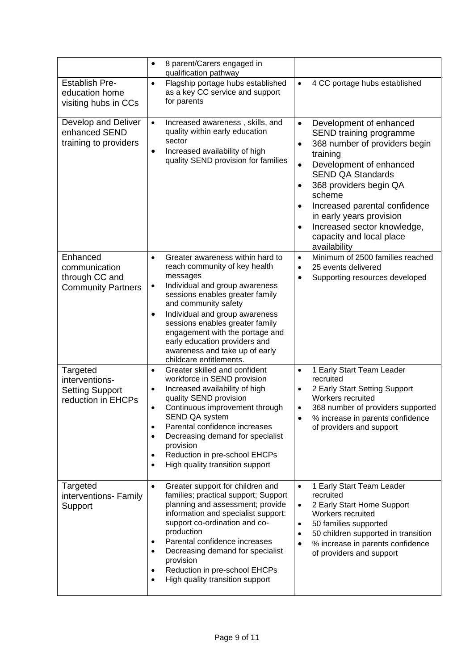|                                                                            | 8 parent/Carers engaged in<br>$\bullet$<br>qualification pathway                                                                                                                                                                                                                                                                                                                                                          |                                                                                                                                                                                                                                                                                                                                                                                                  |
|----------------------------------------------------------------------------|---------------------------------------------------------------------------------------------------------------------------------------------------------------------------------------------------------------------------------------------------------------------------------------------------------------------------------------------------------------------------------------------------------------------------|--------------------------------------------------------------------------------------------------------------------------------------------------------------------------------------------------------------------------------------------------------------------------------------------------------------------------------------------------------------------------------------------------|
| <b>Establish Pre-</b><br>education home<br>visiting hubs in CCs            | Flagship portage hubs established<br>$\bullet$<br>as a key CC service and support<br>for parents                                                                                                                                                                                                                                                                                                                          | 4 CC portage hubs established<br>$\bullet$                                                                                                                                                                                                                                                                                                                                                       |
| Develop and Deliver<br>enhanced SEND<br>training to providers              | Increased awareness, skills, and<br>$\bullet$<br>quality within early education<br>sector<br>Increased availability of high<br>٠<br>quality SEND provision for families                                                                                                                                                                                                                                                   | Development of enhanced<br>$\bullet$<br>SEND training programme<br>368 number of providers begin<br>$\bullet$<br>training<br>Development of enhanced<br>$\bullet$<br><b>SEND QA Standards</b><br>368 providers begin QA<br>٠<br>scheme<br>Increased parental confidence<br>$\bullet$<br>in early years provision<br>Increased sector knowledge,<br>٠<br>capacity and local place<br>availability |
| Enhanced<br>communication<br>through CC and<br><b>Community Partners</b>   | Greater awareness within hard to<br>$\bullet$<br>reach community of key health<br>messages<br>Individual and group awareness<br>٠<br>sessions enables greater family<br>and community safety<br>Individual and group awareness<br>sessions enables greater family<br>engagement with the portage and<br>early education providers and<br>awareness and take up of early<br>childcare entitlements.                        | Minimum of 2500 families reached<br>$\bullet$<br>25 events delivered<br>$\bullet$<br>Supporting resources developed                                                                                                                                                                                                                                                                              |
| Targeted<br>interventions-<br><b>Setting Support</b><br>reduction in EHCPs | Greater skilled and confident<br>$\bullet$<br>workforce in SEND provision<br>Increased availability of high<br>٠<br>quality SEND provision<br>Continuous improvement through<br>$\bullet$<br>SEND QA system<br>Parental confidence increases<br>$\bullet$<br>Decreasing demand for specialist<br>$\bullet$<br>provision<br>Reduction in pre-school EHCPs<br>$\bullet$<br>High quality transition support<br>$\bullet$     | 1 Early Start Team Leader<br>$\bullet$<br>recruited<br>2 Early Start Setting Support<br><b>Workers recruited</b><br>368 number of providers supported<br>$\bullet$<br>% increase in parents confidence<br>of providers and support                                                                                                                                                               |
| Targeted<br>interventions- Family<br>Support                               | Greater support for children and<br>$\bullet$<br>families; practical support; Support<br>planning and assessment; provide<br>information and specialist support:<br>support co-ordination and co-<br>production<br>Parental confidence increases<br>$\bullet$<br>Decreasing demand for specialist<br>$\bullet$<br>provision<br>Reduction in pre-school EHCPs<br>$\bullet$<br>High quality transition support<br>$\bullet$ | 1 Early Start Team Leader<br>$\bullet$<br>recruited<br>2 Early Start Home Support<br>$\bullet$<br>Workers recruited<br>50 families supported<br>٠<br>50 children supported in transition<br>٠<br>% increase in parents confidence<br>of providers and support                                                                                                                                    |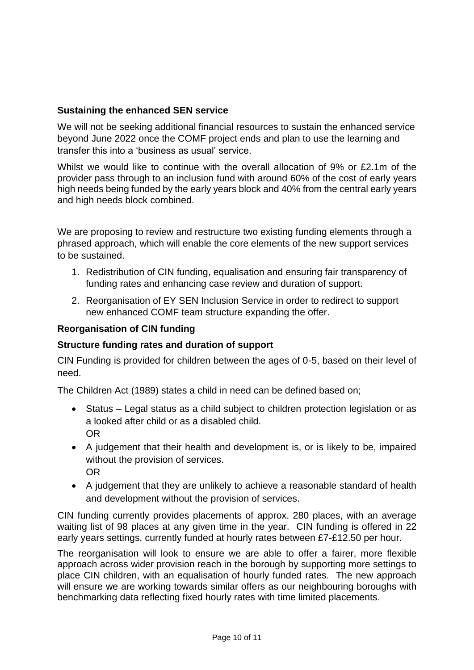# **Sustaining the enhanced SEN service**

We will not be seeking additional financial resources to sustain the enhanced service beyond June 2022 once the COMF project ends and plan to use the learning and transfer this into a 'business as usual' service.

Whilst we would like to continue with the overall allocation of 9% or £2.1m of the provider pass through to an inclusion fund with around 60% of the cost of early years high needs being funded by the early years block and 40% from the central early years and high needs block combined.

We are proposing to review and restructure two existing funding elements through a phrased approach, which will enable the core elements of the new support services to be sustained.

- 1. Redistribution of CIN funding, equalisation and ensuring fair transparency of funding rates and enhancing case review and duration of support.
- 2. Reorganisation of EY SEN Inclusion Service in order to redirect to support new enhanced COMF team structure expanding the offer.

# **Reorganisation of CIN funding**

# **Structure funding rates and duration of support**

CIN Funding is provided for children between the ages of 0-5, based on their level of need.

The Children Act (1989) states a child in need can be defined based on;

- Status Legal status as a child subject to children protection legislation or as a looked after child or as a disabled child. OR
- A judgement that their health and development is, or is likely to be, impaired without the provision of services. OR
- A judgement that they are unlikely to achieve a reasonable standard of health and development without the provision of services.

CIN funding currently provides placements of approx. 280 places, with an average waiting list of 98 places at any given time in the year. CIN funding is offered in 22 early years settings, currently funded at hourly rates between £7-£12.50 per hour.

The reorganisation will look to ensure we are able to offer a fairer, more flexible approach across wider provision reach in the borough by supporting more settings to place CIN children, with an equalisation of hourly funded rates. The new approach will ensure we are working towards similar offers as our neighbouring boroughs with benchmarking data reflecting fixed hourly rates with time limited placements.